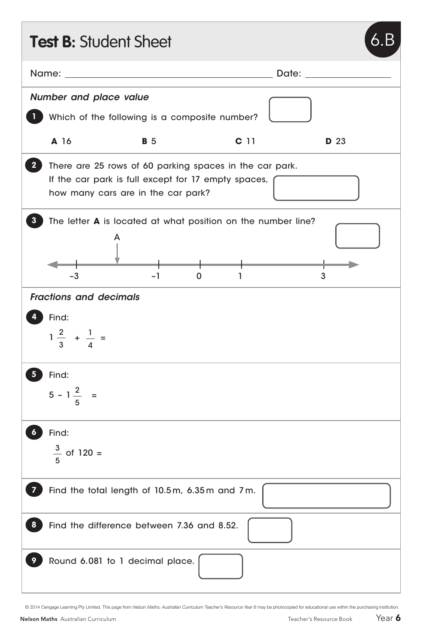| <b>Test B: Student Sheet</b>            |                                                                                                                                                                                                                                |                 |       |             |
|-----------------------------------------|--------------------------------------------------------------------------------------------------------------------------------------------------------------------------------------------------------------------------------|-----------------|-------|-------------|
|                                         | Name: when the contract of the contract of the contract of the contract of the contract of the contract of the contract of the contract of the contract of the contract of the contract of the contract of the contract of the |                 | Date: |             |
| <b>Number and place value</b>           |                                                                                                                                                                                                                                |                 |       |             |
|                                         | Which of the following is a composite number?                                                                                                                                                                                  |                 |       |             |
| A 16                                    | <b>B</b> 5                                                                                                                                                                                                                     | C <sub>11</sub> |       | <b>D</b> 23 |
| $\mathbf{2}$                            | There are 25 rows of 60 parking spaces in the car park.<br>If the car park is full except for 17 empty spaces,<br>how many cars are in the car park?                                                                           |                 |       |             |
| $-3$                                    | The letter <b>A</b> is located at what position on the number line?<br>A<br>-1                                                                                                                                                 | 0               |       | 3           |
| <b>Fractions and decimals</b>           |                                                                                                                                                                                                                                |                 |       |             |
| Find:<br>$1\frac{2}{3} + \frac{1}{4} =$ |                                                                                                                                                                                                                                |                 |       |             |
| Find:<br>$5 - 1\frac{2}{5}$ =           |                                                                                                                                                                                                                                |                 |       |             |
| Find:<br>$\frac{3}{5}$ of 120 =         |                                                                                                                                                                                                                                |                 |       |             |
|                                         | Find the total length of 10.5m, 6.35m and 7m.                                                                                                                                                                                  |                 |       |             |
|                                         | Find the difference between 7.36 and 8.52.                                                                                                                                                                                     |                 |       |             |
|                                         | Round 6.081 to 1 decimal place.                                                                                                                                                                                                |                 |       |             |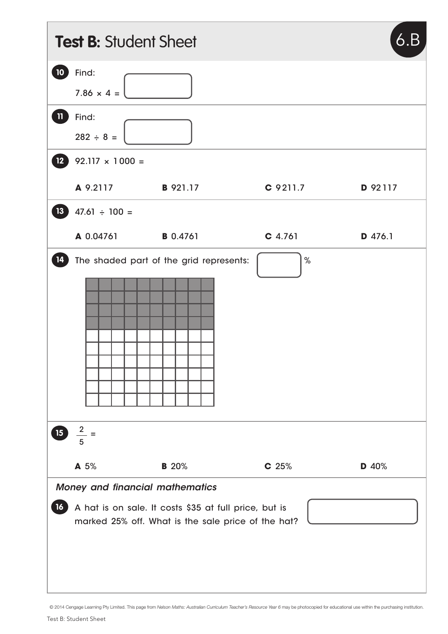|                 | <b>Test B: Student Sheet</b>           |                                                                                                             |                  | 6.B     |
|-----------------|----------------------------------------|-------------------------------------------------------------------------------------------------------------|------------------|---------|
| 10              | Find:<br>$7.86 \times 4 =$             |                                                                                                             |                  |         |
| $\mathbf{1}$    | Find:<br>$282 \div 8 =$                |                                                                                                             |                  |         |
| 12 <sup>°</sup> | $92.117 \times 1000 =$                 |                                                                                                             |                  |         |
|                 | A 9.2117                               | <b>B</b> 921.17                                                                                             | C 9211.7         | D 92117 |
| 13              | $47.61 \div 100 =$                     |                                                                                                             |                  |         |
|                 | A 0.04761                              | <b>B</b> 0.4761                                                                                             | $C$ 4.761        | D 476.1 |
| 14<br>15        | $\frac{2}{1}$ =                        | The shaded part of the grid represents:                                                                     | $\%$             |         |
|                 | 5                                      |                                                                                                             |                  |         |
|                 | A 5%                                   | <b>B</b> 20%                                                                                                | C <sub>25%</sub> | D 40%   |
| 16 <sup>1</sup> | <b>Money and financial mathematics</b> | A hat is on sale. It costs \$35 at full price, but is<br>marked 25% off. What is the sale price of the hat? |                  |         |

© 2014 Cengage Learning Pty Limited. This page from *Nelson Maths: Australian Curriculum Teacher's Resource Year 6* may be photocopied for educational use within the purchasing institution.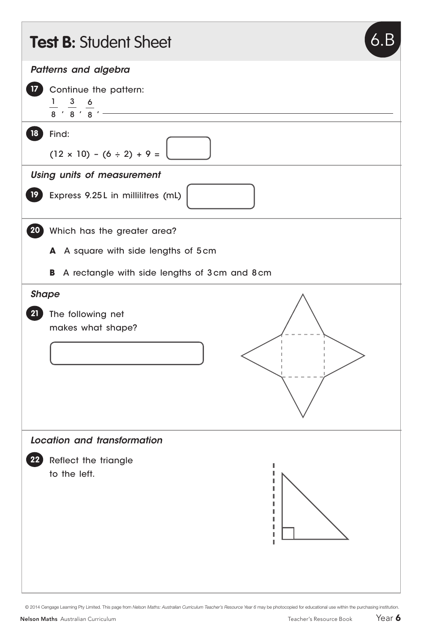|                 | <b>Test B: Student Sheet</b><br>6.                                                     |
|-----------------|----------------------------------------------------------------------------------------|
|                 | Patterns and algebra                                                                   |
| 17 <sup>2</sup> | Continue the pattern:<br>$\frac{1}{8}$ , $\frac{3}{8}$ , $\frac{6}{8}$ , $\frac{1}{8}$ |
| 18              | Find:<br>$(12 \times 10) - (6 \div 2) + 9 =$                                           |
|                 | <b>Using units of measurement</b>                                                      |
| 19 <sup>°</sup> | Express 9.25L in millilitres (mL)                                                      |
|                 | 20 Which has the greater area?                                                         |
|                 | A square with side lengths of 5cm<br>A                                                 |
|                 | В<br>A rectangle with side lengths of 3 cm and 8 cm                                    |
| <b>Shape</b>    |                                                                                        |
| 21              | The following net<br>makes what shape?                                                 |
|                 | Location and transformation                                                            |
| 22              | Reflect the triangle<br>to the left.                                                   |

© 2014 Cengage Learning Pty Limited. This page from *Nelson Maths: Australian Curriculum Teacher's Resource Year 6* may be photocopied for educational use within the purchasing institution.